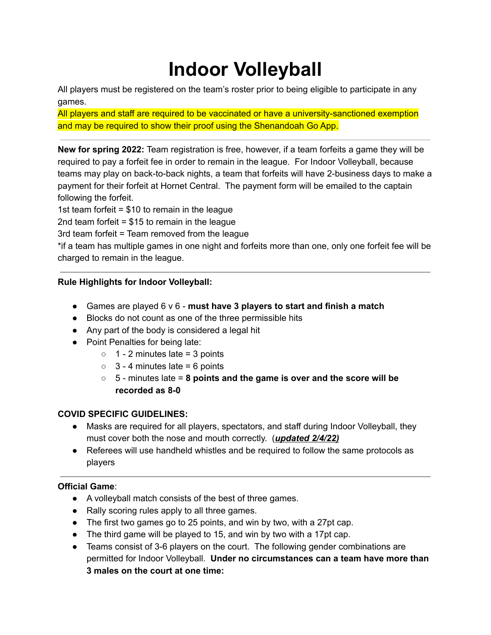# **Indoor Volleyball**

All players must be registered on the team's roster prior to being eligible to participate in any games.

All players and staff are required to be vaccinated or have a university-sanctioned exemption and may be required to show their proof using the Shenandoah Go App.

**New for spring 2022:** Team registration is free, however, if a team forfeits a game they will be required to pay a forfeit fee in order to remain in the league. For Indoor Volleyball, because teams may play on back-to-back nights, a team that forfeits will have 2-business days to make a payment for their forfeit at Hornet Central. The payment form will be emailed to the captain following the forfeit.

1st team forfeit  $= $10$  to remain in the league

2nd team forfeit = \$15 to remain in the league

3rd team forfeit = Team removed from the league

\*if a team has multiple games in one night and forfeits more than one, only one forfeit fee will be charged to remain in the league.

# **Rule Highlights for Indoor Volleyball:**

- Games are played 6 v 6 **must have 3 players to start and finish a match**
- Blocks do not count as one of the three permissible hits
- Any part of the body is considered a legal hit
- Point Penalties for being late:
	- $\circ$  1 2 minutes late = 3 points
	- $\circ$  3 4 minutes late = 6 points
	- 5 minutes late = **8 points and the game is over and the score will be recorded as 8-0**

## **COVID SPECIFIC GUIDELINES:**

- Masks are required for all players, spectators, and staff during Indoor Volleyball, they must cover both the nose and mouth correctly. (*updated 2/4/22)*
- Referees will use handheld whistles and be required to follow the same protocols as players

## **Official Game**:

- A volleyball match consists of the best of three games.
- Rally scoring rules apply to all three games.
- The first two games go to 25 points, and win by two, with a 27pt cap.
- The third game will be played to 15, and win by two with a 17pt cap.
- Teams consist of 3-6 players on the court. The following gender combinations are permitted for Indoor Volleyball. **Under no circumstances can a team have more than 3 males on the court at one time:**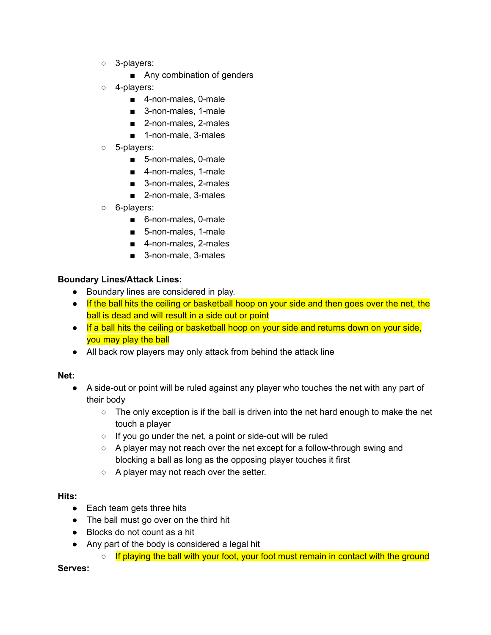- 3-players:
	- Any combination of genders
- 4-players:
	- 4-non-males, 0-male
	- 3-non-males, 1-male
	- 2-non-males, 2-males
	- 1-non-male, 3-males
- 5-players:
	- 5-non-males, 0-male
	- 4-non-males, 1-male
	- 3-non-males, 2-males
	- 2-non-male, 3-males
- 6-players:
	- 6-non-males, 0-male
	- 5-non-males, 1-male
	- 4-non-males, 2-males
	- 3-non-male, 3-males

## **Boundary Lines/Attack Lines:**

- Boundary lines are considered in play.
- If the ball hits the ceiling or basketball hoop on your side and then goes over the net, the ball is dead and will result in a side out or point
- If a ball hits the ceiling or basketball hoop on your side and returns down on your side, you may play the ball
- All back row players may only attack from behind the attack line

#### **Net:**

- A side-out or point will be ruled against any player who touches the net with any part of their body
	- $\circ$  The only exception is if the ball is driven into the net hard enough to make the net touch a player
	- If you go under the net, a point or side-out will be ruled
	- A player may not reach over the net except for a follow-through swing and blocking a ball as long as the opposing player touches it first
	- A player may not reach over the setter.

## **Hits:**

- Each team gets three hits
- The ball must go over on the third hit
- Blocks do not count as a hit
- Any part of the body is considered a legal hit
	- If playing the ball with your foot, your foot must remain in contact with the ground

#### **Serves:**